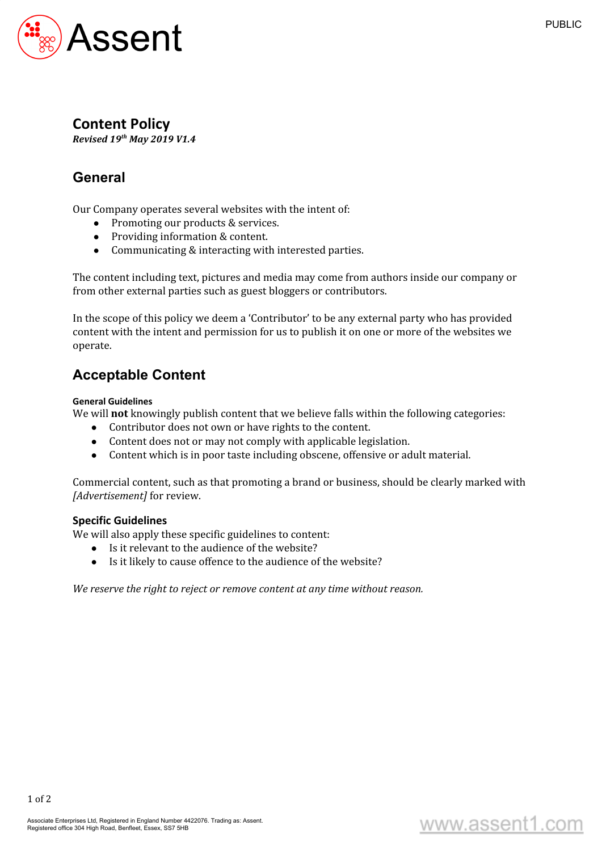

### **Content Policy**

*Revised 19 th May 2019 V1.4*

# **General**

Our Company operates several websites with the intent of:

- Promoting our products & services.
- Providing information & content.
- Communicating & interacting with interested parties.

The content including text, pictures and media may come from authors inside our company or from other external parties such as guest bloggers or contributors.

In the scope of this policy we deem a 'Contributor' to be any external party who has provided content with the intent and permission for us to publish it on one or more of the websites we operate.

## **Acceptable Content**

#### **General Guidelines**

We will **not** knowingly publish content that we believe falls within the following categories:

- Contributor does not own or have rights to the content.
- Content does not or may not comply with applicable legislation.
- Content which is in poor taste including obscene, offensive or adult material.

Commercial content, such as that promoting a brand or business, should be clearly marked with *[Advertisement]* for review.

#### **Specific Guidelines**

We will also apply these specific guidelines to content:

- Is it relevant to the audience of the website?
- Is it likely to cause offence to the audience of the website?

*We reserve the right to reject or remove content at any time without reason.*